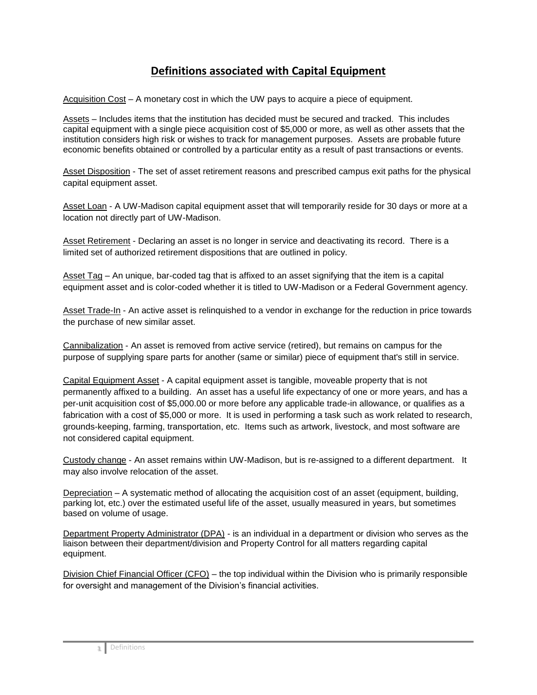## **Definitions associated with Capital Equipment**

Acquisition Cost – A monetary cost in which the UW pays to acquire a piece of equipment.

Assets – Includes items that the institution has decided must be secured and tracked. This includes capital equipment with a single piece acquisition cost of \$5,000 or more, as well as other assets that the institution considers high risk or wishes to track for management purposes. Assets are probable future economic benefits obtained or controlled by a particular entity as a result of past transactions or events.

Asset Disposition - The set of asset retirement reasons and prescribed campus exit paths for the physical capital equipment asset.

Asset Loan - A UW-Madison capital equipment asset that will temporarily reside for 30 days or more at a location not directly part of UW-Madison.

Asset Retirement - Declaring an asset is no longer in service and deactivating its record. There is a limited set of authorized retirement dispositions that are outlined in policy.

Asset Tag – An unique, bar-coded tag that is affixed to an asset signifying that the item is a capital equipment asset and is color-coded whether it is titled to UW-Madison or a Federal Government agency.

Asset Trade-In - An active asset is relinquished to a vendor in exchange for the reduction in price towards the purchase of new similar asset.

Cannibalization - An asset is removed from active service (retired), but remains on campus for the purpose of supplying spare parts for another (same or similar) piece of equipment that's still in service.

Capital Equipment Asset - A capital equipment asset is tangible, moveable property that is not permanently affixed to a building. An asset has a useful life expectancy of one or more years, and has a per-unit acquisition cost of \$5,000.00 or more before any applicable trade-in allowance, or qualifies as a fabrication with a cost of \$5,000 or more. It is used in performing a task such as work related to research, grounds-keeping, farming, transportation, etc. Items such as artwork, livestock, and most software are not considered capital equipment.

Custody change - An asset remains within UW-Madison, but is re-assigned to a different department. It may also involve relocation of the asset.

Depreciation – A systematic method of allocating the acquisition cost of an asset (equipment, building, parking lot, etc.) over the estimated useful life of the asset, usually measured in years, but sometimes based on volume of usage.

Department Property Administrator (DPA) - is an individual in a department or division who serves as the liaison between their department/division and Property Control for all matters regarding capital equipment.

Division Chief Financial Officer (CFO) – the top individual within the Division who is primarily responsible for oversight and management of the Division's financial activities.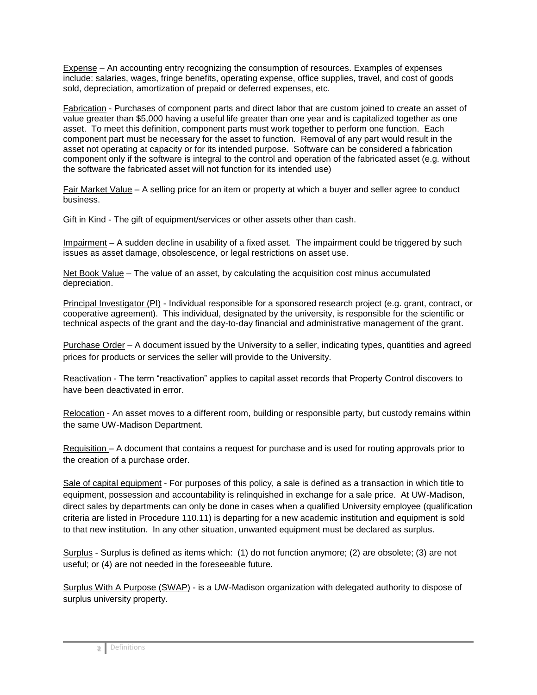Expense – An accounting entry recognizing the consumption of resources. Examples of expenses include: salaries, wages, fringe benefits, operating expense, office supplies, travel, and cost of goods sold, depreciation, amortization of prepaid or deferred expenses, etc.

Fabrication - Purchases of component parts and direct labor that are custom joined to create an asset of value greater than \$5,000 having a useful life greater than one year and is capitalized together as one asset. To meet this definition, component parts must work together to perform one function. Each component part must be necessary for the asset to function. Removal of any part would result in the asset not operating at capacity or for its intended purpose. Software can be considered a fabrication component only if the software is integral to the control and operation of the fabricated asset (e.g. without the software the fabricated asset will not function for its intended use)

Fair Market Value – A selling price for an item or property at which a buyer and seller agree to conduct business.

Gift in Kind - The gift of equipment/services or other assets other than cash.

Impairment – A sudden decline in usability of a fixed asset. The impairment could be triggered by such issues as asset damage, obsolescence, or legal restrictions on asset use.

Net Book Value – The value of an asset, by calculating the acquisition cost minus accumulated depreciation.

Principal Investigator (PI) - Individual responsible for a sponsored research project (e.g. grant, contract, or cooperative agreement). This individual, designated by the university, is responsible for the scientific or technical aspects of the grant and the day-to-day financial and administrative management of the grant.

Purchase Order – A document issued by the University to a seller, indicating types, quantities and agreed prices for products or services the seller will provide to the University.

Reactivation - The term "reactivation" applies to capital asset records that Property Control discovers to have been deactivated in error.

Relocation - An asset moves to a different room, building or responsible party, but custody remains within the same UW-Madison Department.

Requisition – A document that contains a request for purchase and is used for routing approvals prior to the creation of a purchase order.

Sale of capital equipment - For purposes of this policy, a sale is defined as a transaction in which title to equipment, possession and accountability is relinquished in exchange for a sale price. At UW-Madison, direct sales by departments can only be done in cases when a qualified University employee (qualification criteria are listed in Procedure 110.11) is departing for a new academic institution and equipment is sold to that new institution. In any other situation, unwanted equipment must be declared as surplus.

Surplus - Surplus is defined as items which: (1) do not function anymore; (2) are obsolete; (3) are not useful; or (4) are not needed in the foreseeable future.

Surplus With A Purpose (SWAP) - is a UW-Madison organization with delegated authority to dispose of surplus university property.